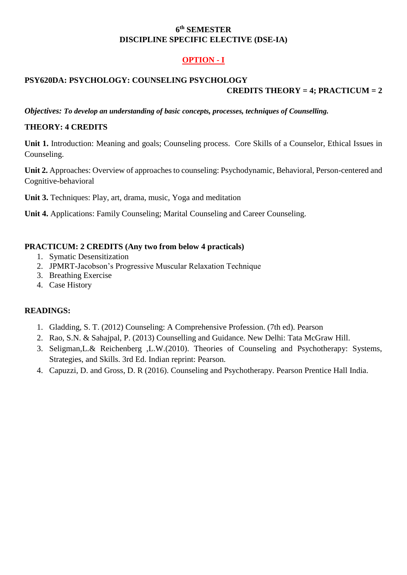#### **6 th SEMESTER DISCIPLINE SPECIFIC ELECTIVE (DSE-IA)**

# **OPTION - I**

## **PSY620DA: PSYCHOLOGY: COUNSELING PSYCHOLOGY CREDITS THEORY = 4; PRACTICUM = 2**

*Objectives: To develop an understanding of basic concepts, processes, techniques of Counselling.*

### **THEORY: 4 CREDITS**

**Unit 1.** Introduction: Meaning and goals; Counseling process. Core Skills of a Counselor, Ethical Issues in Counseling.

**Unit 2.** Approaches: Overview of approaches to counseling: Psychodynamic, Behavioral, Person-centered and Cognitive-behavioral

**Unit 3.** Techniques: Play, art, drama, music, Yoga and meditation

**Unit 4.** Applications: Family Counseling; Marital Counseling and Career Counseling.

#### **PRACTICUM: 2 CREDITS (Any two from below 4 practicals)**

- 1. Symatic Desensitization
- 2. JPMRT-Jacobson's Progressive Muscular Relaxation Technique
- 3. Breathing Exercise
- 4. Case History

#### **READINGS:**

- 1. Gladding, S. T. (2012) Counseling: A Comprehensive Profession. (7th ed). Pearson
- 2. Rao, S.N. & Sahajpal, P. (2013) Counselling and Guidance. New Delhi: Tata McGraw Hill.
- 3. Seligman,L.& Reichenberg ,L.W.(2010). Theories of Counseling and Psychotherapy: Systems, Strategies, and Skills. 3rd Ed. Indian reprint: Pearson.
- 4. Capuzzi, D. and Gross, D. R (2016). Counseling and Psychotherapy. Pearson Prentice Hall India.